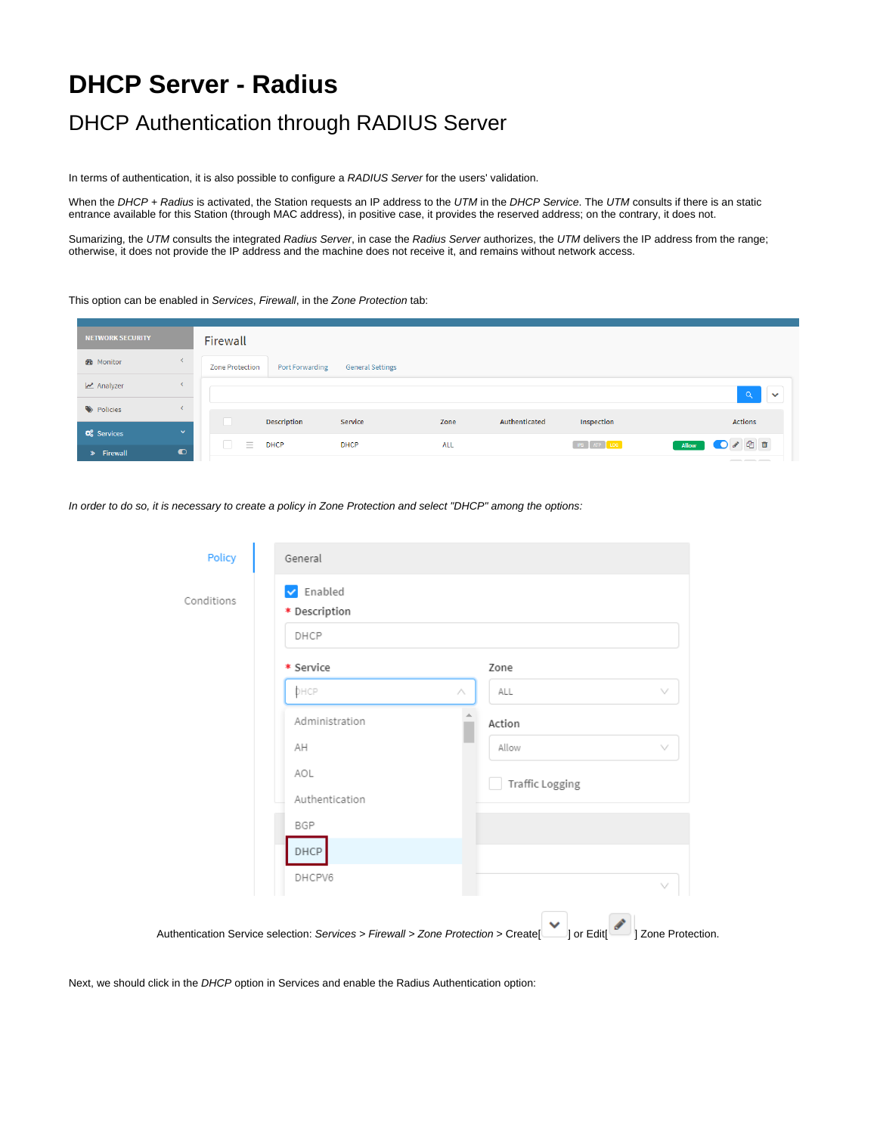## **DHCP Server - Radius**

## DHCP Authentication through RADIUS Server

In terms of authentication, it is also possible to configure a RADIUS Server for the users' validation.

When the DHCP + Radius is activated, the Station requests an IP address to the UTM in the DHCP Service. The UTM consults if there is an static entrance available for this Station (through MAC address), in positive case, it provides the reserved address; on the contrary, it does not.

Sumarizing, the UTM consults the integrated Radius Server, in case the Radius Server authorizes, the UTM delivers the IP address from the range; otherwise, it does not provide the IP address and the machine does not receive it, and remains without network access.

## This option can be enabled in Services, Firewall, in the Zone Protection tab:

| <b>NETWORK SECURITY</b>           | Firewall                                                                                       |
|-----------------------------------|------------------------------------------------------------------------------------------------|
| <b>B</b> Monitor                  | <b>General Settings</b><br>Port Forwarding<br><b>Zone Protection</b>                           |
| Analyzer                          | $\Omega$<br>$\checkmark$                                                                       |
| Policies                          | Authenticated                                                                                  |
| <b>Q</b> Services<br>$\checkmark$ | <b>Description</b><br>Service<br><b>Actions</b><br>Inspection<br>Zone                          |
| $\bullet$<br>» Firewall           | √ 图 ■<br>$\equiv$<br>IPS ATP LOG<br><b>DHCP</b><br><b>DHCP</b><br>ALL<br>O<br>Allow<br>$- - -$ |

In order to do so, it is necessary to create a policy in Zone Protection and select "DHCP" among the options:

| Conditions | $\triangledown$ Enabled<br>* Description |                        |        |   |  |
|------------|------------------------------------------|------------------------|--------|---|--|
|            | DHCP                                     |                        |        |   |  |
|            | * Service                                |                        | Zone   |   |  |
|            | DHCP                                     | Λ                      | ALL    | v |  |
|            | Administration                           |                        | Action |   |  |
|            | AH                                       |                        | Allow  | v |  |
|            | AOL<br>Authentication                    | <b>Traffic Logging</b> |        |   |  |
|            |                                          |                        |        |   |  |
|            | BGP                                      |                        |        |   |  |
|            | DHCP                                     |                        |        |   |  |
|            | DHCPV6                                   |                        |        |   |  |

Next, we should click in the DHCP option in Services and enable the Radius Authentication option: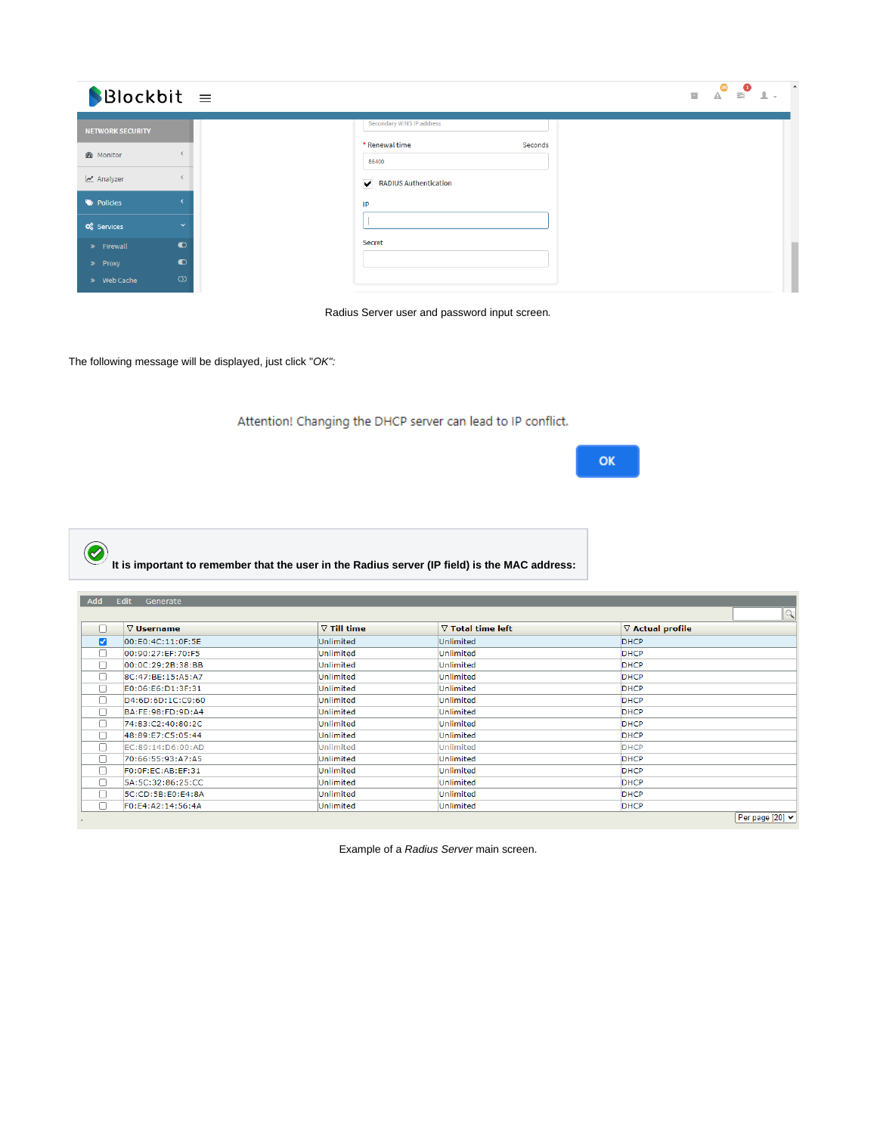| $\bigcirc$ Blockbit =   |                          |                                    |
|-------------------------|--------------------------|------------------------------------|
| <b>NETWORK SECURITY</b> |                          | Secondary WINS IP address          |
| <b>&amp;</b> Monitor    |                          | * Renewal time<br>Seconds<br>86400 |
| Analyzer                | $\overline{\phantom{a}}$ | RADIUS Authentication              |
| Policies                |                          | IP                                 |
| <b>Q</b> Services       | $\checkmark$             |                                    |
| > Firewall              | $\bullet$                | Secret                             |
| » Proxy                 | $\bullet$                |                                    |
| » Web Cache             | $\infty$                 |                                    |

Radius Server user and password input screen.

The following message will be displayed, just click "OK":

Attention! Changing the DHCP server can lead to IP conflict.

**OK** 

 $\bigcirc$ **It is important to remember that the user in the Radius server (IP field) is the MAC address:** Add Edit Generate □ vusername  $\sqrt{2}$  Till time  $\sqrt{\nabla$  Total time left  $\sqrt{a}$  Actual profile

| $\overline{\phantom{0}}$ |                        | .                |           |                 |
|--------------------------|------------------------|------------------|-----------|-----------------|
| M                        | 00:E0:4C:11:0F:5E      | Unlimited        | Unlimited | <b>DHCP</b>     |
|                          | 00:90:27:EF:70:F5      | Unlimited        | Unlimited | <b>DHCP</b>     |
| П                        | 00:0C:29:2B:38:BB      | Unlimited        | Unlimited | <b>DHCP</b>     |
|                          | 8C:47:BE:15:A5:A7      | Unlimited        | Unlimited | <b>DHCP</b>     |
|                          | E0:06:E6:D1:3F:31      | Unlimited        | Unlimited | <b>DHCP</b>     |
|                          | D4:6D:6D:1C:C9:60      | Unlimited        | Unlimited | <b>DHCP</b>     |
|                          | BA:FE:98:FD:9D:A4      | Unlimited        | Unlimited | <b>DHCP</b>     |
|                          | 74:83:C2:40:80:2C      | Unlimited        | Unlimited | <b>DHCP</b>     |
|                          | 48:89:E7:C5:05:44      | Unlimited        | Unlimited | <b>DHCP</b>     |
|                          | EC:89:14:D6:00:AD      | <b>Unlimited</b> | Unlimited | <b>DHCP</b>     |
| ш                        | 70:66:55:93:A7:A5      | Unlimited        | Unlimited | <b>DHCP</b>     |
|                          | FO:OF:EC:AB:EF:31      | Unlimited        | Unlimited | <b>DHCP</b>     |
|                          | 5A: 5C: 32: 86: 25: CC | Unlimited        | Unlimited | <b>DHCP</b>     |
|                          | 5C:CD:5B:E0:E4:8A      | Unlimited        | Unlimited | <b>DHCP</b>     |
|                          | F0:E4:A2:14:56:4A      | Unlimited        | Unlimited | <b>DHCP</b>     |
|                          |                        |                  |           | Per page [20] v |
|                          |                        |                  |           |                 |

Example of a Radius Server main screen.